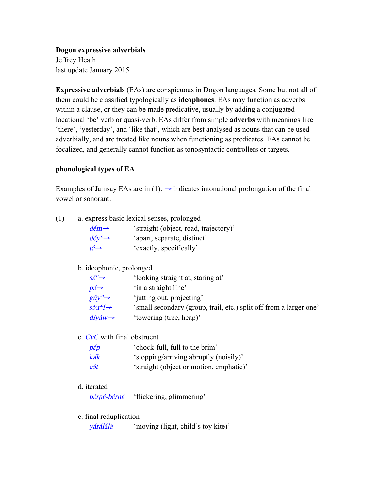**Dogon expressive adverbials** Jeffrey Heath last update January 2015

**Expressive adverbials** (EAs) are conspicuous in Dogon languages. Some but not all of them could be classified typologically as **ideophones**. EAs may function as adverbs within a clause, or they can be made predicative, usually by adding a conjugated locational 'be' verb or quasi-verb. EAs differ from simple **adverbs** with meanings like 'there', 'yesterday', and 'like that', which are best analysed as nouns that can be used adverbially, and are treated like nouns when functioning as predicates. EAs cannot be focalized, and generally cannot function as tonosyntactic controllers or targets.

# **phonological types of EA**

Examples of Jamsay EAs are in (1).  $\rightarrow$  indicates intonational prolongation of the final vowel or sonorant.

| (1) | a. express basic lexical senses, prolonged |                                       |
|-----|--------------------------------------------|---------------------------------------|
|     | $d \in m \rightarrow$                      | 'straight (object, road, trajectory)' |
|     | $d \acute{e} y^n \rightarrow$              | 'apart, separate, distinct'           |
|     | $t \acute{e} \rightarrow$                  | 'exactly, specifically'               |

#### b. ideophonic, prolonged

| $S\acute{\epsilon}^n \rightarrow$  | 'looking straight at, staring at'                                  |
|------------------------------------|--------------------------------------------------------------------|
| $p5 \rightarrow$                   | 'in a straight line'                                               |
| $g\check{u}y^n \rightarrow$        | 'jutting out, projecting'                                          |
| $s\partial T''$                    | 'small secondary (group, trail, etc.) split off from a larger one' |
| $di\widetilde{y}$ áw $\rightarrow$ | 'towering (tree, heap)'                                            |

c. CvC with final obstruent

| $p\varepsilon p$ | 'chock-full, full to the brim'          |
|------------------|-----------------------------------------|
| kák              | 'stopping/arriving abruptly (noisily)'  |
| c5t              | 'straight (object or motion, emphatic)' |

d. iterated

bérné-bérné 'flickering, glimmering'

e. final reduplication

yárálálá 'moving (light, child's toy kite)'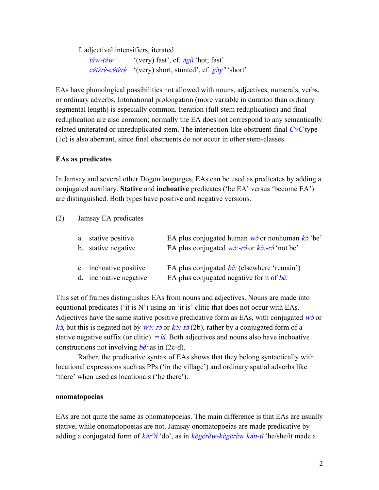f. adjectival intensifiers, iterated

| táw-táw | '(very) fast', cf. $\frac{1}{2}$ of hot; fast'                          |
|---------|-------------------------------------------------------------------------|
|         | <i>cétèrè-cétèrè</i> '(very) short, stunted', cf. $g\delta y^n$ 'short' |

EAs have phonological possibilities not allowed with nouns, adjectives, numerals, verbs, or ordinary adverbs. Intonational prolongation (more variable in duration than ordinary segmental length) is especially common. Iteration (full-stem reduplication) and final reduplication are also common; normally the EA does not correspond to any semantically related uniterated or unreduplicated stem. The interjection-like obstruent-final CvC type (1c) is also aberrant, since final obstruents do not occur in other stem-classes.

## **EAs as predicates**

In Jamsay and several other Dogon languages, EAs can be used as predicates by adding a conjugated auxiliary. **Stative** and **inchoative** predicates ('be EA' versus 'become EA') are distinguished. Both types have positive and negative versions.

## (2) Jamsay EA predicates

| a. stative positive<br>b. stative negative       | EA plus conjugated human $w\dot{\theta}$ or nonhuman $k\dot{\theta}$ 'be'<br>EA plus conjugated $w\lambda$ :-r or $k\lambda$ :-r $\lambda$ 'not be' |
|--------------------------------------------------|-----------------------------------------------------------------------------------------------------------------------------------------------------|
| c. inchoative positive<br>d. inchoative negative | EA plus conjugated $b\check{e}$ : (elsewhere 'remain')<br>EA plus conjugated negative form of $b\check{e}$ .                                        |

This set of frames distinguishes EAs from nouns and adjectives. Nouns are made into equational predicates ('it is N') using an 'it is' clitic that does not occur with EAs. Adjectives have the same stative positive predicative form as EAs, with conjugated  $\vec{w}$  or kɔ̀, but this is negated not by  $w\dot{\sigma}$ :-rɔ́ or kɔ̀:-rɔ́(2b), rather by a conjugated form of a stative negative suffix (or clitic)  $=$  lá. Both adjectives and nouns also have inchoative constructions not involving  $b\tilde{e}$ : as in (2c-d).

Rather, the predicative syntax of EAs shows that they belong syntactically with locational expressions such as PPs ('in the village') and ordinary spatial adverbs like 'there' when used as locationals ('be there').

#### **onomatopoeias**

EAs are not quite the same as onomatopoeias. The main difference is that EAs are usually stative, while onomatopoeias are not. Jamsay onomatopoeias are made predicative by adding a conjugated form of kár<sup>n</sup>á 'do', as in kègérèw-kègérèw kán-tì 'he/she/it made a